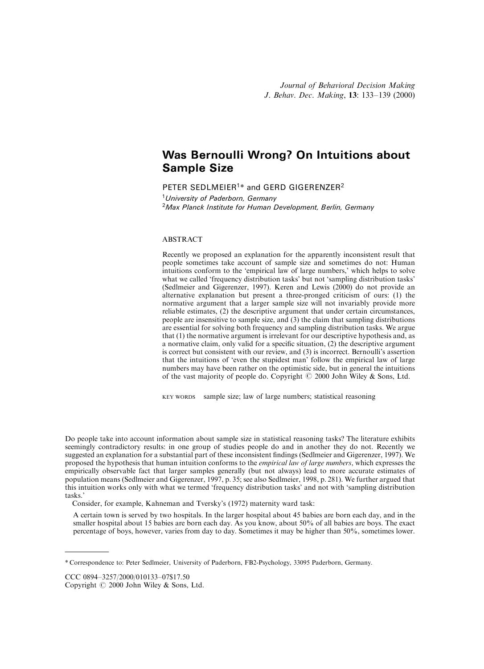# Was Bernoulli Wrong? On Intuitions about Sample Size

PETER SEDLMEIER<sup>1\*</sup> and GERD GIGERENZER<sup>2</sup> <sup>1</sup> University of Paderborn, Germany  $2$ Max Planck Institute for Human Development, Berlin, Germany

# ABSTRACT

Recently we proposed an explanation for the apparently inconsistent result that people sometimes take account of sample size and sometimes do not: Human intuitions conform to the 'empirical law of large numbers,' which helps to solve what we called 'frequency distribution tasks' but not 'sampling distribution tasks' (Sedlmeier and Gigerenzer, 1997). Keren and Lewis (2000) do not provide an alternative explanation but present a three-pronged criticism of ours: (1) the normative argument that a larger sample size will not invariably provide more reliable estimates, (2) the descriptive argument that under certain circumstances, people are insensitive to sample size, and (3) the claim that sampling distributions are essential for solving both frequency and sampling distribution tasks. We argue that (1) the normative argument is irrelevant for our descriptive hypothesis and, as a normative claim, only valid for a specific situation,  $(2)$  the descriptive argument is correct but consistent with our review, and (3) is incorrect. Bernoulli's assertion that the intuitions of `even the stupidest man' follow the empirical law of large numbers may have been rather on the optimistic side, but in general the intuitions of the vast majority of people do. Copyright  $\odot$  2000 John Wiley & Sons, Ltd.

KEY WORDS sample size; law of large numbers; statistical reasoning

Do people take into account information about sample size in statistical reasoning tasks? The literature exhibits seemingly contradictory results: in one group of studies people do and in another they do not. Recently we suggested an explanation for a substantial part of these inconsistent findings (Sedlmeier and Gigerenzer, 1997). We proposed the hypothesis that human intuition conforms to the *empirical law of large numbers*, which expresses the empirically observable fact that larger samples generally (but not always) lead to more accurate estimates of population means (Sedlmeier and Gigerenzer, 1997, p. 35; see also Sedlmeier, 1998, p. 281). We further argued that this intuition works only with what we termed `frequency distribution tasks' and not with `sampling distribution tasks.'

Consider, for example, Kahneman and Tversky's (1972) maternity ward task:

A certain town is served by two hospitals. In the larger hospital about 45 babies are born each day, and in the smaller hospital about 15 babies are born each day. As you know, about 50% of all babies are boys. The exact percentage of boys, however, varies from day to day. Sometimes it may be higher than 50%, sometimes lower.

CCC 0894-3257/2000/010133-07\$17.50

Copyright  $@$  2000 John Wiley & Sons, Ltd.

<sup>\*</sup> Correspondence to: Peter Sedlmeier, University of Paderborn, FB2-Psychology, 33095 Paderborn, Germany.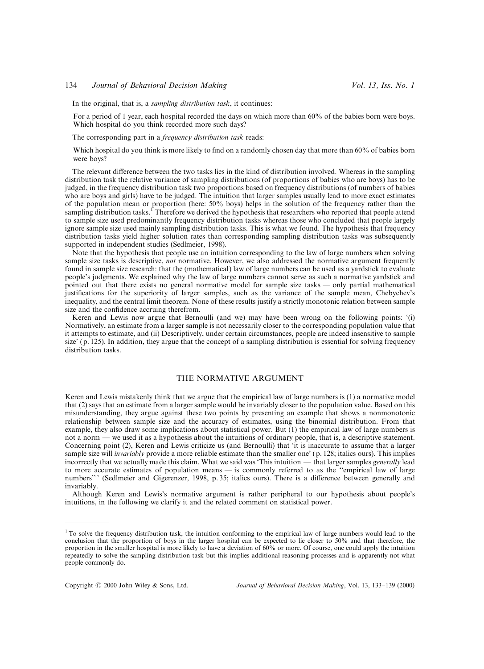In the original, that is, a *sampling distribution task*, it continues:

For a period of 1 year, each hospital recorded the days on which more than 60% of the babies born were boys. Which hospital do you think recorded more such days?

The corresponding part in a *frequency distribution task* reads:

Which hospital do you think is more likely to find on a randomly chosen day that more than 60% of babies born were boys?

The relevant difference between the two tasks lies in the kind of distribution involved. Whereas in the sampling distribution task the relative variance of sampling distributions (of proportions of babies who are boys) has to be judged, in the frequency distribution task two proportions based on frequency distributions (of numbers of babies who are boys and girls) have to be judged. The intuition that larger samples usually lead to more exact estimates of the population mean or proportion (here: 50% boys) helps in the solution of the frequency rather than the sampling distribution tasks.<sup>1</sup> Therefore we derived the hypothesis that researchers who reported that people attend to sample size used predominantly frequency distribution tasks whereas those who concluded that people largely ignore sample size used mainly sampling distribution tasks. This is what we found. The hypothesis that frequency distribution tasks yield higher solution rates than corresponding sampling distribution tasks was subsequently supported in independent studies (Sedlmeier, 1998).

Note that the hypothesis that people use an intuition corresponding to the law of large numbers when solving sample size tasks is descriptive, *not* normative. However, we also addressed the normative argument frequently found in sample size research: that the (mathematical) law of large numbers can be used as a yardstick to evaluate people's judgments. We explained why the law of large numbers cannot serve as such a normative yardstick and pointed out that there exists no general normative model for sample size tasks — only partial mathematical justifications for the superiority of larger samples, such as the variance of the sample mean, Chebychev's inequality, and the central limit theorem. None of these results justify a strictly monotonic relation between sample size and the confidence accruing therefrom.

Keren and Lewis now argue that Bernoulli (and we) may have been wrong on the following points: `(i) Normatively, an estimate from a larger sample is not necessarily closer to the corresponding population value that it attempts to estimate, and (ii) Descriptively, under certain circumstances, people are indeed insensitive to sample size' (p. 125). In addition, they argue that the concept of a sampling distribution is essential for solving frequency distribution tasks.

# THE NORMATIVE ARGUMENT

Keren and Lewis mistakenly think that we argue that the empirical law of large numbers is (1) a normative model that (2) says that an estimate from a larger sample would be invariably closer to the population value. Based on this misunderstanding, they argue against these two points by presenting an example that shows a nonmonotonic relationship between sample size and the accuracy of estimates, using the binomial distribution. From that example, they also draw some implications about statistical power. But (1) the empirical law of large numbers is not a norm — we used it as a hypothesis about the intuitions of ordinary people, that is, a descriptive statement. Concerning point (2), Keren and Lewis criticize us (and Bernoulli) that `it is inaccurate to assume that a larger sample size will *invariably* provide a more reliable estimate than the smaller one' (p. 128; italics ours). This implies incorrectly that we actually made this claim. What we said was 'This intuition  $-$  that larger samples generally lead to more accurate estimates of population means — is commonly referred to as the "empirical law of large numbers"' (Sedlmeier and Gigerenzer, 1998, p. 35; italics ours). There is a difference between generally and invariably.

Although Keren and Lewis's normative argument is rather peripheral to our hypothesis about people's intuitions, in the following we clarify it and the related comment on statistical power.

<sup>&</sup>lt;sup>1</sup> To solve the frequency distribution task, the intuition conforming to the empirical law of large numbers would lead to the conclusion that the proportion of boys in the larger hospital can be expected to lie closer to 50% and that therefore, the proportion in the smaller hospital is more likely to have a deviation of 60% or more. Of course, one could apply the intuition repeatedly to solve the sampling distribution task but this implies additional reasoning processes and is apparently not what people commonly do.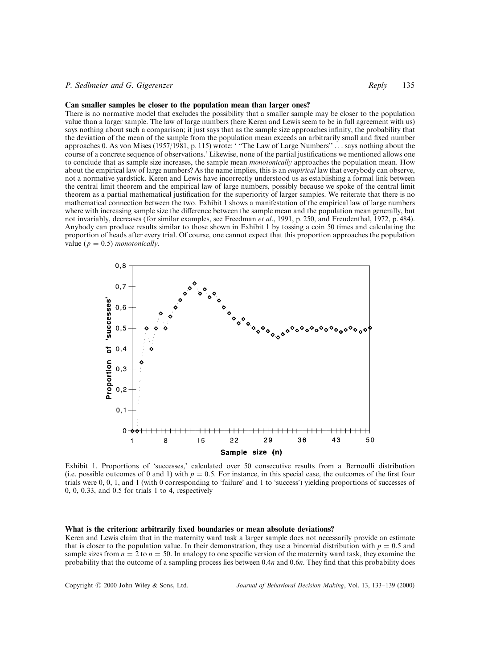# P. Sedlmeier and G. Gigerenzer **Reply 135** Reply 135

#### Can smaller samples be closer to the population mean than larger ones?

There is no normative model that excludes the possibility that a smaller sample may be closer to the population value than a larger sample. The law of large numbers (here Keren and Lewis seem to be in full agreement with us) says nothing about such a comparison; it just says that as the sample size approaches infinity, the probability that the deviation of the mean of the sample from the population mean exceeds an arbitrarily small and fixed number approaches 0. As von Mises (1957/1981, p. 115) wrote: "The Law of Large Numbers" ... says nothing about the course of a concrete sequence of observations.' Likewise, none of the partial justifications we mentioned allows one to conclude that as sample size increases, the sample mean *monotonically* approaches the population mean. How about the empirical law of large numbers? As the name implies, this is an *empirical* law that everybody can observe, not a normative yardstick. Keren and Lewis have incorrectly understood us as establishing a formal link between the central limit theorem and the empirical law of large numbers, possibly because we spoke of the central limit theorem as a partial mathematical justification for the superiority of larger samples. We reiterate that there is no mathematical connection between the two. Exhibit 1 shows a manifestation of the empirical law of large numbers where with increasing sample size the difference between the sample mean and the population mean generally, but not invariably, decreases (for similar examples, see Freedman et al., 1991, p. 250, and Freudenthal, 1972, p. 484). Anybody can produce results similar to those shown in Exhibit 1 by tossing a coin 50 times and calculating the proportion of heads after every trial. Of course, one cannot expect that this proportion approaches the population value ( $p = 0.5$ ) monotonically.



Exhibit 1. Proportions of `successes,' calculated over 50 consecutive results from a Bernoulli distribution (i.e. possible outcomes of 0 and 1) with  $p = 0.5$ . For instance, in this special case, the outcomes of the first four trials were 0, 0, 1, and 1 (with 0 corresponding to 'failure' and 1 to 'success') yielding proportions of successes of 0, 0, 0.33, and 0.5 for trials 1 to 4, respectively

#### What is the criterion: arbitrarily fixed boundaries or mean absolute deviations?

Keren and Lewis claim that in the maternity ward task a larger sample does not necessarily provide an estimate that is closer to the population value. In their demonstration, they use a binomial distribution with  $p = 0.5$  and sample sizes from  $n = 2$  to  $n = 50$ . In analogy to one specific version of the maternity ward task, they examine the probability that the outcome of a sampling process lies between 0.4n and 0.6n. They find that this probability does

Copyright  $\odot$  2000 John Wiley & Sons, Ltd. Journal of Behavioral Decision Making, Vol. 13, 133-139 (2000)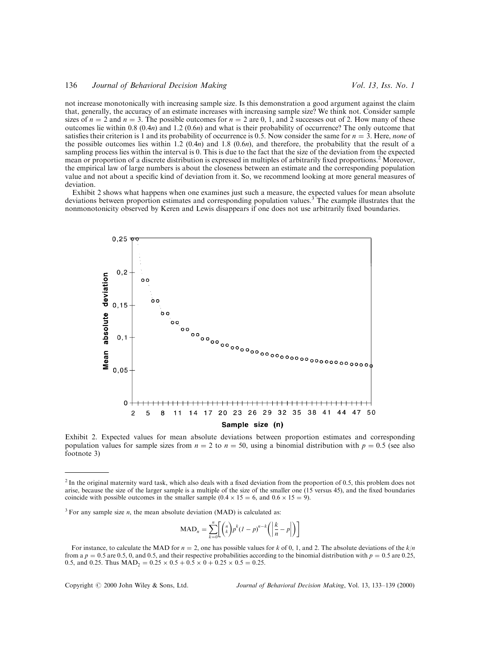### 136 *Journal of Behavioral Decision Making* Vol. 13, Iss. No. 1

not increase monotonically with increasing sample size. Is this demonstration a good argument against the claim that, generally, the accuracy of an estimate increases with increasing sample size? We think not. Consider sample sizes of  $n = 2$  and  $n = 3$ . The possible outcomes for  $n = 2$  are 0, 1, and 2 successes out of 2. How many of these outcomes lie within 0.8  $(0.4n)$  and 1.2  $(0.6n)$  and what is their probability of occurrence? The only outcome that satisfies their criterion is 1 and its probability of occurrence is 0.5. Now consider the same for  $n = 3$ . Here, none of the possible outcomes lies within 1.2  $(0.4n)$  and 1.8  $(0.6n)$ , and therefore, the probability that the result of a sampling process lies within the interval is 0. This is due to the fact that the size of the deviation from the expected mean or proportion of a discrete distribution is expressed in multiples of arbitrarily fixed proportions.<sup>2</sup> Moreover, the empirical law of large numbers is about the closeness between an estimate and the corresponding population value and not about a specific kind of deviation from it. So, we recommend looking at more general measures of deviation.

Exhibit 2 shows what happens when one examines just such a measure, the expected values for mean absolute deviations between proportion estimates and corresponding population values.<sup>3</sup> The example illustrates that the nonmonotonicity observed by Keren and Lewis disappears if one does not use arbitrarily fixed boundaries.



Exhibit 2. Expected values for mean absolute deviations between proportion estimates and corresponding population values for sample sizes from  $n = 2$  to  $n = 50$ , using a binomial distribution with  $p = 0.5$  (see also footnote 3)

$$
\text{MAD}_n = \sum_{k=0}^n \left[ \binom{n}{k} p^k (I - p)^{n-k} \left( \left| \frac{k}{n} - p \right| \right) \right]
$$

Copyright  $\odot$  2000 John Wiley & Sons, Ltd. Journal of Behavioral Decision Making, Vol. 13, 133-139 (2000)

 $2$  In the original maternity ward task, which also deals with a fixed deviation from the proportion of 0.5, this problem does not arise, because the size of the larger sample is a multiple of the size of the smaller one (15 versus 45), and the fixed boundaries coincide with possible outcomes in the smaller sample  $(0.4 \times 15 = 6)$ , and  $(0.6 \times 15 = 9)$ .

 $3$  For any sample size *n*, the mean absolute deviation (MAD) is calculated as:

For instance, to calculate the MAD for  $n = 2$ , one has possible values for k of 0, 1, and 2. The absolute deviations of the k/n from a  $p = 0.5$  are 0.5, 0, and 0.5, and their respective probabilities according to the binomial distribution with  $p = 0.5$  are 0.25, 0.5, and 0.25. Thus  $\text{MAD}_2 = 0.25 \times 0.5 + 0.5 \times 0 + 0.25 \times 0.5 = 0.25$ .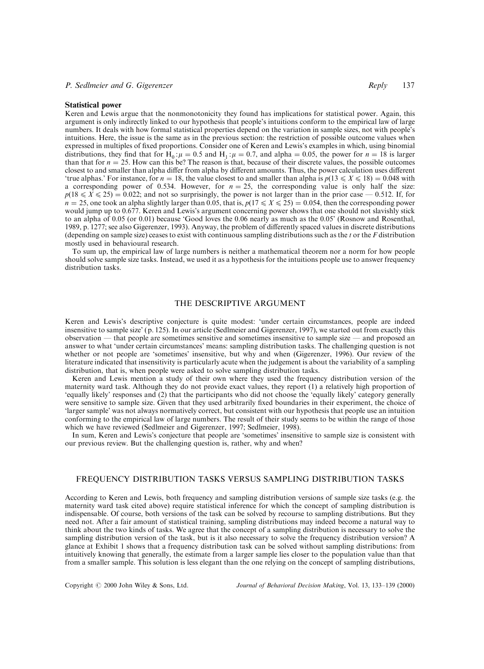#### Statistical power

Keren and Lewis argue that the nonmonotonicity they found has implications for statistical power. Again, this argument is only indirectly linked to our hypothesis that people's intuitions conform to the empirical law of large numbers. It deals with how formal statistical properties depend on the variation in sample sizes, not with people's intuitions. Here, the issue is the same as in the previous section: the restriction of possible outcome values when expressed in multiples of fixed proportions. Consider one of Keren and Lewis's examples in which, using binomial distributions, they find that for H<sub>0</sub>: $\mu$  = 0.5 and H<sub>1</sub>: $\mu$  = 0.7, and alpha = 0.05, the power for  $n = 18$  is larger than that for  $n = 25$ . How can this be? The reason is that, because of their discrete values, the possible outcomes closest to and smaller than alpha differ from alpha by different amounts. Thus, the power calculation uses different 'true alphas.' For instance, for  $n = 18$ , the value closest to and smaller than alpha is  $p(13 \le X \le 18) = 0.048$  with a corresponding power of 0.534. However, for  $n = 25$ , the corresponding value is only half the size:  $p(18 \le X \le 25) = 0.022$ ; and not so surprisingly, the power is not larger than in the prior case  $-0.512$ . If, for  $n = 25$ , one took an alpha slightly larger than 0.05, that is,  $p(17 \le X \le 25) = 0.054$ , then the corresponding power would jump up to 0.677. Keren and Lewis's argument concerning power shows that one should not slavishly stick to an alpha of 0.05 (or 0.01) because 'Good loves the 0.06 nearly as much as the 0.05' (Rosnow and Rosenthal, 1989, p. 1277; see also Gigerenzer, 1993). Anyway, the problem of dierently spaced values in discrete distributions (depending on sample size) ceases to exist with continuous sampling distributions such as the  $t$  or the  $F$  distribution mostly used in behavioural research.

To sum up, the empirical law of large numbers is neither a mathematical theorem nor a norm for how people should solve sample size tasks. Instead, we used it as a hypothesis for the intuitions people use to answer frequency distribution tasks.

## THE DESCRIPTIVE ARGUMENT

Keren and Lewis's descriptive conjecture is quite modest: 'under certain circumstances, people are indeed insensitive to sample size' (p. 125). In our article (Sedlmeier and Gigerenzer, 1997), we started out from exactly this observation — that people are sometimes sensitive and sometimes insensitive to sample size — and proposed an answer to what `under certain circumstances' means: sampling distribution tasks. The challenging question is not whether or not people are 'sometimes' insensitive, but why and when (Gigerenzer, 1996). Our review of the literature indicated that insensitivity is particularly acute when the judgement is about the variability of a sampling distribution, that is, when people were asked to solve sampling distribution tasks.

Keren and Lewis mention a study of their own where they used the frequency distribution version of the maternity ward task. Although they do not provide exact values, they report (1) a relatively high proportion of `equally likely' responses and (2) that the participants who did not choose the `equally likely' category generally were sensitive to sample size. Given that they used arbitrarily fixed boundaries in their experiment, the choice of `larger sample' was not always normatively correct, but consistent with our hypothesis that people use an intuition conforming to the empirical law of large numbers. The result of their study seems to be within the range of those which we have reviewed (Sedlmeier and Gigerenzer, 1997; Sedlmeier, 1998).

In sum, Keren and Lewis's conjecture that people are `sometimes' insensitive to sample size is consistent with our previous review. But the challenging question is, rather, why and when?

## FREQUENCY DISTRIBUTION TASKS VERSUS SAMPLING DISTRIBUTION TASKS

According to Keren and Lewis, both frequency and sampling distribution versions of sample size tasks (e.g. the maternity ward task cited above) require statistical inference for which the concept of sampling distribution is indispensable. Of course, both versions of the task can be solved by recourse to sampling distributions. But they need not. After a fair amount of statistical training, sampling distributions may indeed become a natural way to think about the two kinds of tasks. We agree that the concept of a sampling distribution is necessary to solve the sampling distribution version of the task, but is it also necessary to solve the frequency distribution version? A glance at Exhibit 1 shows that a frequency distribution task can be solved without sampling distributions: from intuitively knowing that generally, the estimate from a larger sample lies closer to the population value than that from a smaller sample. This solution is less elegant than the one relying on the concept of sampling distributions,

Copyright  $\circled{c}$  2000 John Wiley & Sons, Ltd. Journal of Behavioral Decision Making, Vol. 13, 133-139 (2000)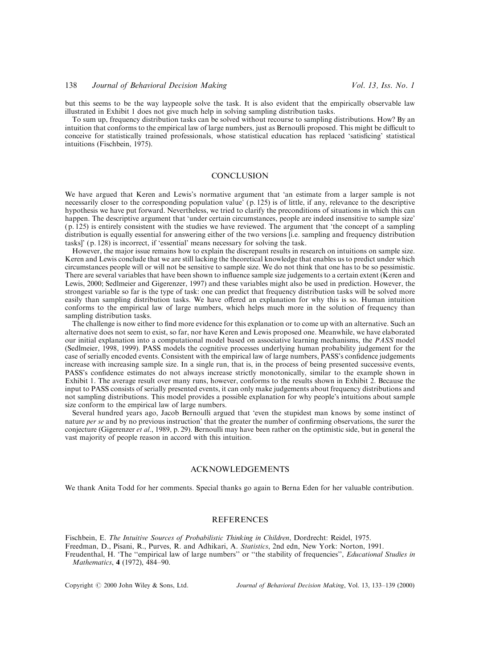but this seems to be the way laypeople solve the task. It is also evident that the empirically observable law illustrated in Exhibit 1 does not give much help in solving sampling distribution tasks.

To sum up, frequency distribution tasks can be solved without recourse to sampling distributions. How? By an intuition that conforms to the empirical law of large numbers, just as Bernoulli proposed. This might be difficult to conceive for statistically trained professionals, whose statistical education has replaced 'satisficing' statistical intuitions (Fischbein, 1975).

#### **CONCLUSION**

We have argued that Keren and Lewis's normative argument that 'an estimate from a larger sample is not necessarily closer to the corresponding population value' (p. 125) is of little, if any, relevance to the descriptive hypothesis we have put forward. Nevertheless, we tried to clarify the preconditions of situations in which this can happen. The descriptive argument that 'under certain circumstances, people are indeed insensitive to sample size' (p. 125) is entirely consistent with the studies we have reviewed. The argument that `the concept of a sampling distribution is equally essential for answering either of the two versions [i.e. sampling and frequency distribution tasks]' (p. 128) is incorrect, if `essential' means necessary for solving the task.

However, the major issue remains how to explain the discrepant results in research on intuitions on sample size. Keren and Lewis conclude that we are still lacking the theoretical knowledge that enables us to predict under which circumstances people will or will not be sensitive to sample size. We do not think that one has to be so pessimistic. There are several variables that have been shown to influence sample size judgements to a certain extent (Keren and Lewis, 2000; Sedlmeier and Gigerenzer, 1997) and these variables might also be used in prediction. However, the strongest variable so far is the type of task: one can predict that frequency distribution tasks will be solved more easily than sampling distribution tasks. We have offered an explanation for why this is so. Human intuition conforms to the empirical law of large numbers, which helps much more in the solution of frequency than sampling distribution tasks.

The challenge is now either to find more evidence for this explanation or to come up with an alternative. Such an alternative does not seem to exist, so far, nor have Keren and Lewis proposed one. Meanwhile, we have elaborated our initial explanation into a computational model based on associative learning mechanisms, the PASS model (Sedlmeier, 1998, 1999). PASS models the cognitive processes underlying human probability judgement for the case of serially encoded events. Consistent with the empirical law of large numbers, PASS's confidence judgements increase with increasing sample size. In a single run, that is, in the process of being presented successive events, PASS's confidence estimates do not always increase strictly monotonically, similar to the example shown in Exhibit 1. The average result over many runs, however, conforms to the results shown in Exhibit 2. Because the input to PASS consists of serially presented events, it can only make judgements about frequency distributions and not sampling distributions. This model provides a possible explanation for why people's intuitions about sample size conform to the empirical law of large numbers.

Several hundred years ago, Jacob Bernoulli argued that `even the stupidest man knows by some instinct of nature *per se* and by no previous instruction' that the greater the number of confirming observations, the surer the conjecture (Gigerenzer et al., 1989, p. 29). Bernoulli may have been rather on the optimistic side, but in general the vast majority of people reason in accord with this intuition.

# ACKNOWLEDGEMENTS

We thank Anita Todd for her comments. Special thanks go again to Berna Eden for her valuable contribution.

# REFERENCES

Fischbein, E. The Intuitive Sources of Probabilistic Thinking in Children, Dordrecht: Reidel, 1975. Freedman, D., Pisani, R., Purves, R. and Adhikari, A. Statistics, 2nd edn, New York: Norton, 1991. Freudenthal, H. 'The "empirical law of large numbers" or "the stability of frequencies", Educational Studies in Mathematics, 4 (1972), 484-90.

Copyright  $\circled{c}$  2000 John Wiley & Sons, Ltd. Journal of Behavioral Decision Making, Vol. 13, 133-139 (2000)